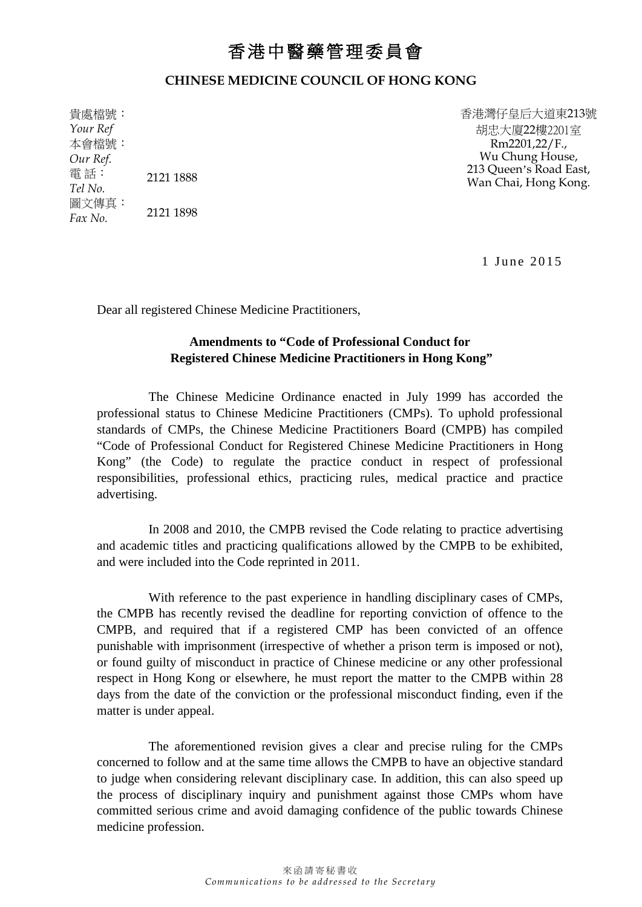## 香港中醫藥管理委員會

## **CHINESE MEDICINE COUNCIL OF HONG KONG**

貴處檔號: *Your Ref* 本會檔號: *Our Ref.* 電 話: *Tel No.* 2121 1888 圖文傳真:  $Fax No.$  2121 1898 香港灣仔皇后大道東213號 胡忠大廈22樓2201室 Rm2201,22/F., Wu Chung House, 213 Queen's Road East, Wan Chai, Hong Kong.

1 June 2015

Dear all registered Chinese Medicine Practitioners,

## **Amendments to "Code of Professional Conduct for Registered Chinese Medicine Practitioners in Hong Kong"**

The Chinese Medicine Ordinance enacted in July 1999 has accorded the professional status to Chinese Medicine Practitioners (CMPs). To uphold professional standards of CMPs, the Chinese Medicine Practitioners Board (CMPB) has compiled "Code of Professional Conduct for Registered Chinese Medicine Practitioners in Hong Kong" (the Code) to regulate the practice conduct in respect of professional responsibilities, professional ethics, practicing rules, medical practice and practice advertising.

In 2008 and 2010, the CMPB revised the Code relating to practice advertising and academic titles and practicing qualifications allowed by the CMPB to be exhibited, and were included into the Code reprinted in 2011.

With reference to the past experience in handling disciplinary cases of CMPs, the CMPB has recently revised the deadline for reporting conviction of offence to the CMPB, and required that if a registered CMP has been convicted of an offence punishable with imprisonment (irrespective of whether a prison term is imposed or not), or found guilty of misconduct in practice of Chinese medicine or any other professional respect in Hong Kong or elsewhere, he must report the matter to the CMPB within 28 days from the date of the conviction or the professional misconduct finding, even if the matter is under appeal.

The aforementioned revision gives a clear and precise ruling for the CMPs concerned to follow and at the same time allows the CMPB to have an objective standard to judge when considering relevant disciplinary case. In addition, this can also speed up the process of disciplinary inquiry and punishment against those CMPs whom have committed serious crime and avoid damaging confidence of the public towards Chinese medicine profession.